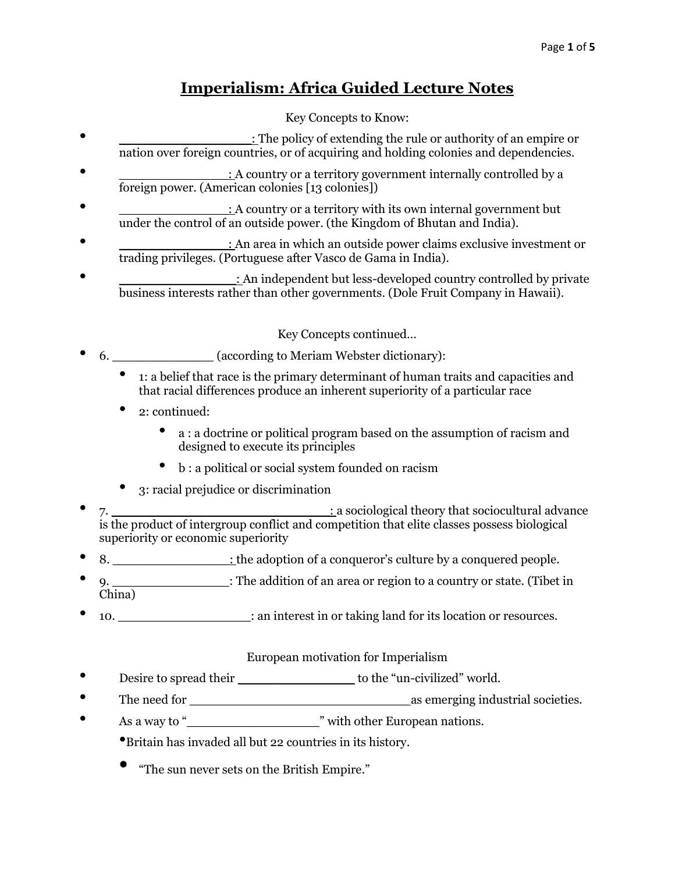# **Imperialism: Africa Guided Lecture Notes**

## Key Concepts to Know:

- $\bullet$  : The policy of extending the rule or authority of an empire or nation over foreign countries, or of acquiring and holding colonies and dependencies.
- $\therefore$  A country or a territory government internally controlled by a foreign power. (American colonies [13 colonies])
- : A country or a territory with its own internal government but under the control of an outside power. (the Kingdom of Bhutan and India).
- : An area in which an outside power claims exclusive investment or trading privileges. (Portuguese after Vasco de Gama in India).
- : An independent but less-developed country controlled by private business interests rather than other governments. (Dole Fruit Company in Hawaii).

Key Concepts continued…

- 6.  **COLOREGIST (ACCORDING MEET ALGEBRY)** (according to Meriam Webster dictionary):
	- 1: a belief that race is the primary determinant of human traits and capacities and that racial differences produce an inherent superiority of a particular race
	- 2: continued:
		- <sup>a</sup> : a doctrine or political program based on the assumption of racism and designed to execute its principles
		- <sup>b</sup> : a political or social system founded on racism
	- 3: racial prejudice or discrimination
- 7. is the product of intergroup conflict and competition that elite classes possess biological superiority or economic superiority
- 8. \_\_\_\_\_\_\_\_\_\_\_\_\_\_\_: the adoption of a conqueror's culture by a conquered people.
- 9. \_\_\_\_\_\_\_\_\_\_\_\_\_\_\_: The addition of an area or region to a country or state. (Tibet in China)
- 10.  $\bullet$  interest in or taking land for its location or resources.

## European motivation for Imperialism

- Desire to spread their \_\_\_\_\_\_\_\_\_\_\_\_\_\_\_\_\_\_\_\_\_\_ to the "un-civilized" world.
- The need for \_\_\_\_\_\_\_\_\_\_\_\_\_\_\_\_\_\_\_\_\_\_\_\_\_\_\_\_ as emerging industrial societies.
- As a way to "
<u>\_\_\_\_\_\_\_\_\_\_\_\_\_\_\_\_\_\_\_\_\_\_\_\_\_</u>" with other European nations.
	- •Britain has invaded all but 22 countries in its history.
	- "The sun never sets on the British Empire."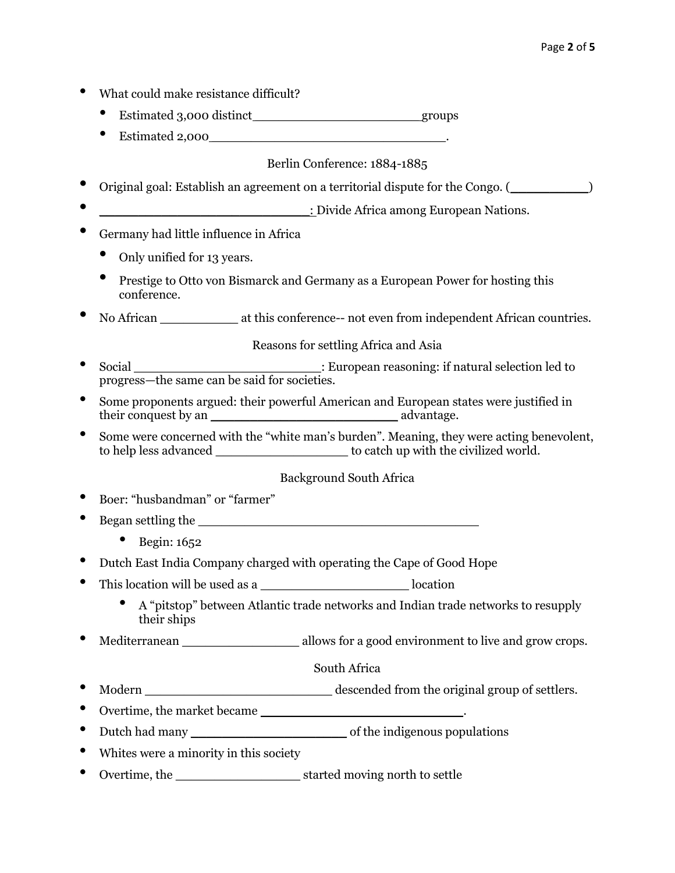- What could make resistance difficult?
	- Estimated 3,000 distinct groups
	- Estimated  $2,000$   $\qquad \qquad$

Berlin Conference: 1884-1885

- Original goal: Establish an agreement on a territorial dispute for the Congo. (\_\_\_\_\_\_\_\_\_\_)
- \_\_\_\_\_\_\_\_\_\_\_\_\_\_\_\_\_\_\_\_\_\_\_\_\_\_\_: Divide Africa among European Nations.
- Germany had little influence in Africa
	- Only unified for 13 years.
	- Prestige to Otto von Bismarck and Germany as a European Power for hosting this conference.
- No African \_\_\_\_\_\_\_\_\_\_\_\_\_ at this conference-- not even from independent African countries.

Reasons for settling Africa and Asia

- Social \_\_\_\_\_\_\_\_\_\_\_\_\_\_\_\_\_\_\_\_\_\_\_\_: European reasoning: if natural selection led to progress—the same can be said for societies.
- Some proponents argued: their powerful American and European states were justified in  $\alpha$  advantage.
- Some were concerned with the "white man's burden". Meaning, they were acting benevolent, to help less advanced \_\_\_\_\_\_\_\_\_\_\_\_\_\_\_\_\_ to catch up with the civilized world.

Background South Africa

- Boer: "husbandman" or "farmer"
- Began settling the \_\_\_\_\_\_\_\_\_\_\_\_\_\_\_\_\_\_\_\_\_\_\_\_\_\_\_\_\_\_\_\_\_\_\_\_
	- Begin: 1652
- Dutch East India Company charged with operating the Cape of Good Hope
- This location will be used as a \_\_\_\_\_\_\_\_\_\_\_\_\_\_\_\_\_\_\_ location
	- A "pitstop" between Atlantic trade networks and Indian trade networks to resupply their ships
- Mediterranean \_\_\_\_\_\_\_\_\_\_\_\_\_\_\_\_\_\_\_\_ allows for a good environment to live and grow crops.

### South Africa

- Modern \_\_\_\_\_\_\_\_\_\_\_\_\_\_\_\_\_\_\_\_\_\_\_\_ descended from the original group of settlers.
- Overtime, the market became \_\_\_\_\_\_\_\_\_\_\_\_\_\_\_\_\_\_\_\_\_\_\_\_\_\_.
- Dutch had many \_\_\_\_\_\_\_\_\_\_\_\_\_\_\_\_\_\_\_\_ of the indigenous populations
- Whites were a minority in this society
- Overtime, the started moving north to settle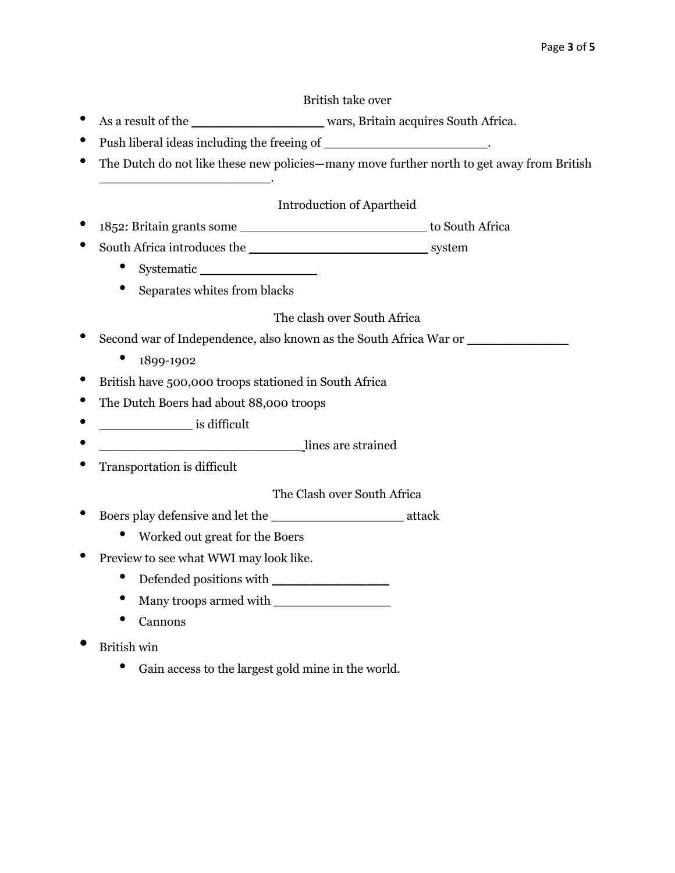#### British take over

- As a result of the \_\_\_\_\_\_\_\_\_\_\_\_\_\_\_\_\_\_\_\_\_\_ wars, Britain acquires South Africa.
- Push liberal ideas including the freeing of \_\_\_\_\_\_\_\_\_\_\_\_\_\_\_\_\_\_\_\_\_.
- The Dutch do not like these new policies—many move further north to get away from British \_\_\_\_\_\_\_\_\_\_\_\_\_\_\_\_\_\_\_\_\_\_.

#### Introduction of Apartheid

- 1852: Britain grants some \_\_\_\_\_\_\_\_\_\_\_\_\_\_\_\_\_\_\_\_\_\_\_\_ to South Africa
- South Africa introduces the \_\_\_\_\_\_\_\_\_\_\_\_\_\_\_\_\_\_\_\_\_\_\_ system
	- Systematic \_\_\_\_\_\_\_\_\_\_\_\_\_\_\_
	- Separates whites from blacks

The clash over South Africa

- Second war of Independence, also known as the South Africa War or  $\Box$ 
	- 1899-1902
- British have 500,000 troops stationed in South Africa
- The Dutch Boers had about 88,000 troops
- \_\_\_\_\_\_\_\_\_\_\_\_ is difficult
- \_\_\_\_\_\_\_\_\_\_\_\_\_\_\_\_\_\_\_\_\_\_\_\_\_\_ lines are strained
- Transportation is difficult

The Clash over South Africa

- Boers play defensive and let the \_\_\_\_\_\_\_\_\_\_\_\_\_\_\_\_\_ attack
	- Worked out great for the Boers
- Preview to see what WWI may look like.
	- Defended positions with
	- Many troops armed with
	- Cannons
- British win
	- Gain access to the largest gold mine in the world.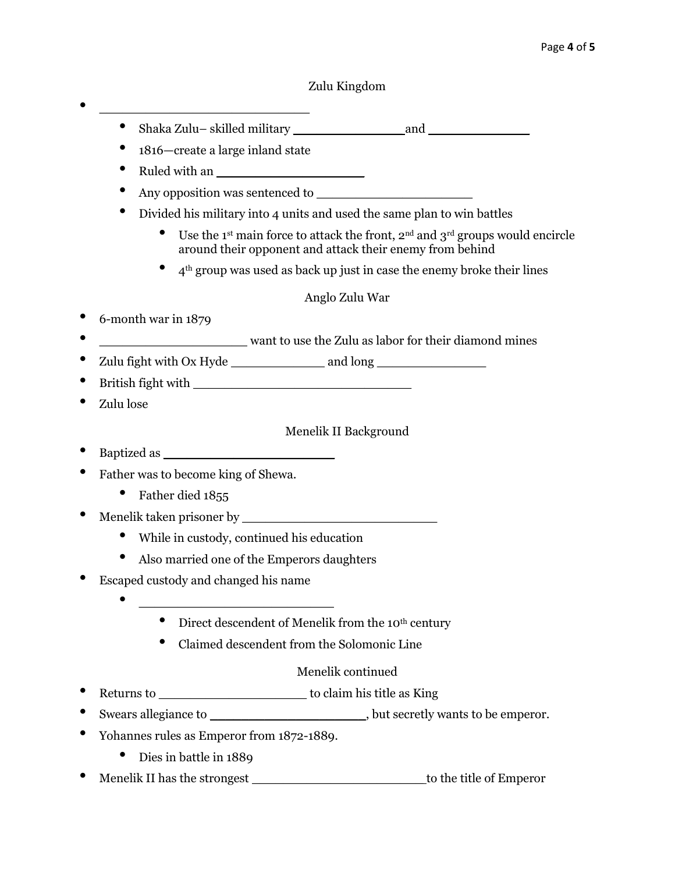### Zulu Kingdom

- Shaka Zulu– skilled military \_\_\_\_\_\_\_\_\_\_\_\_\_\_ and \_\_\_\_\_\_\_\_\_\_\_\_\_
- <sup>1816</sup>—create a large inland state

• \_\_\_\_\_\_\_\_\_\_\_\_\_\_\_\_\_\_\_\_\_\_\_\_\_\_\_

- Ruled with an \_\_\_\_\_\_\_\_\_\_\_\_\_\_\_\_\_\_\_
- Any opposition was sentenced to \_\_\_\_\_\_\_\_\_\_\_\_\_\_\_\_\_\_\_\_
- Divided his military into 4 units and used the same plan to win battles
	- Use the 1<sup>st</sup> main force to attack the front,  $2^{nd}$  and  $3^{rd}$  groups would encircle around their opponent and attack their enemy from behind
	- $\bullet$  4<sup>th</sup> group was used as back up just in case the enemy broke their lines

### Anglo Zulu War

- 6-month war in 1879
- \_\_\_\_\_\_\_\_\_\_\_\_\_\_\_\_\_\_\_\_\_\_\_\_\_\_ want to use the Zulu as labor for their diamond mines
- Zulu fight with Ox Hyde \_\_\_\_\_\_\_\_\_\_\_\_\_\_\_\_ and long \_\_\_\_\_\_\_\_\_\_\_\_\_\_\_\_\_\_\_\_\_\_\_\_\_\_\_\_\_\_\_
- British fight with \_\_\_\_\_\_\_\_\_\_\_\_\_\_\_\_\_\_\_\_\_\_\_\_\_\_\_\_
- Zulu lose

### Menelik II Background

- Baptized as  $\blacksquare$
- Father was to become king of Shewa.
	- Father died 1855
- Menelik taken prisoner by
	- While in custody, continued his education
	- Also married one of the Emperors daughters
- Escaped custody and changed his name
	- \_\_\_\_\_\_\_\_\_\_\_\_\_\_\_\_\_\_\_\_\_\_\_\_\_
		- Direct descendent of Menelik from the 10<sup>th</sup> century
		- Claimed descendent from the Solomonic Line

### Menelik continued

- Returns to \_\_\_\_\_\_\_\_\_\_\_\_\_\_\_\_\_\_\_ to claim his title as King
- Swears allegiance to \_\_\_\_\_\_\_\_\_\_\_\_\_\_\_\_\_\_\_\_\_\_\_\_\_, but secretly wants to be emperor.
- Yohannes rules as Emperor from 1872-1889.
	- Dies in battle in 1889
- Menelik II has the strongest \_\_\_\_\_\_\_\_\_\_\_\_\_\_\_\_\_\_\_\_\_\_ to the title of Emperor